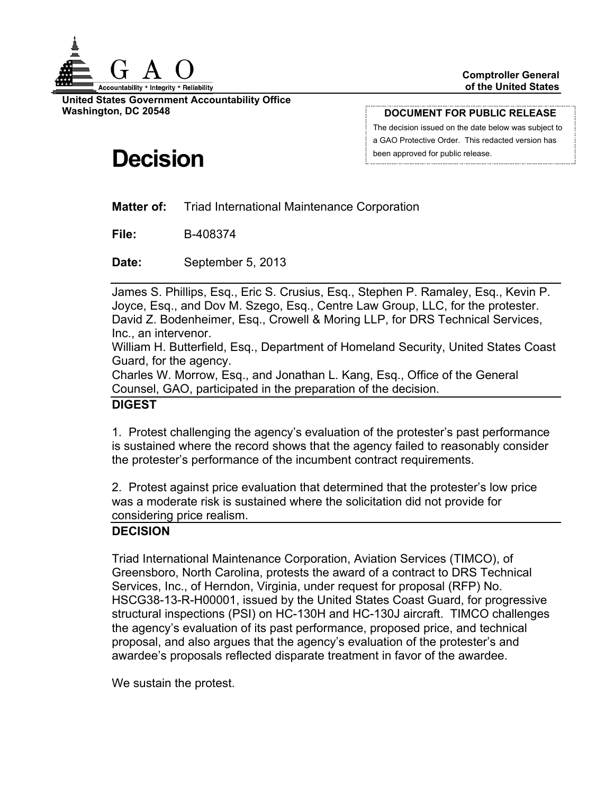

**United States Government Accountability Office Washington, DC 20548**

**DOCUMENT FOR PUBLIC RELEASE**

The decision issued on the date below was subject to a GAO Protective Order. This redacted version has been approved for public release.

# **Decision**

**Matter of:** Triad International Maintenance Corporation

**File:** B-408374

**Date:** September 5, 2013

James S. Phillips, Esq., Eric S. Crusius, Esq., Stephen P. Ramaley, Esq., Kevin P. Joyce, Esq., and Dov M. Szego, Esq., Centre Law Group, LLC, for the protester. David Z. Bodenheimer, Esq., Crowell & Moring LLP, for DRS Technical Services, Inc., an intervenor.

William H. Butterfield, Esq., Department of Homeland Security, United States Coast Guard, for the agency.

Charles W. Morrow, Esq., and Jonathan L. Kang, Esq., Office of the General Counsel, GAO, participated in the preparation of the decision.

#### **DIGEST**

1. Protest challenging the agency's evaluation of the protester's past performance is sustained where the record shows that the agency failed to reasonably consider the protester's performance of the incumbent contract requirements.

2. Protest against price evaluation that determined that the protester's low price was a moderate risk is sustained where the solicitation did not provide for considering price realism.

## **DECISION**

Triad International Maintenance Corporation, Aviation Services (TIMCO), of Greensboro, North Carolina, protests the award of a contract to DRS Technical Services, Inc., of Herndon, Virginia, under request for proposal (RFP) No. HSCG38-13-R-H00001, issued by the United States Coast Guard, for progressive structural inspections (PSI) on HC-130H and HC-130J aircraft. TIMCO challenges the agency's evaluation of its past performance, proposed price, and technical proposal, and also argues that the agency's evaluation of the protester's and awardee's proposals reflected disparate treatment in favor of the awardee.

We sustain the protest.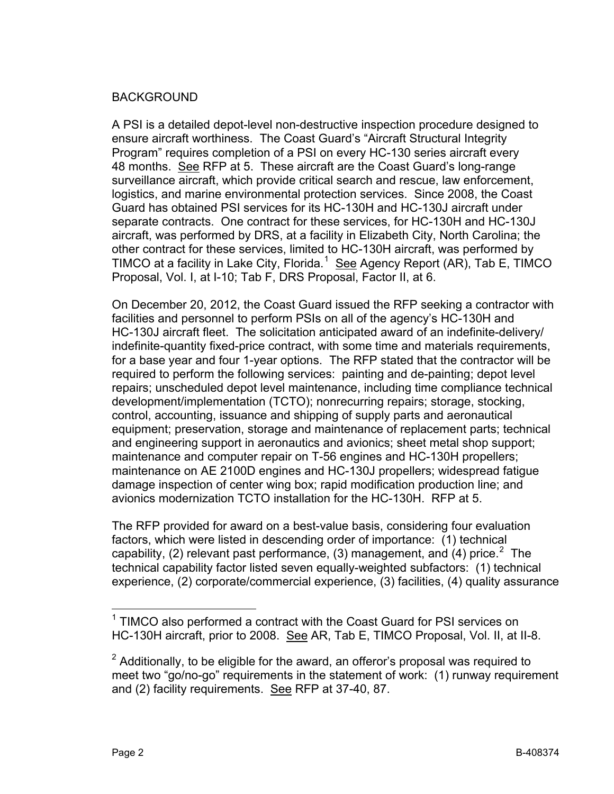## BACKGROUND

A PSI is a detailed depot-level non-destructive inspection procedure designed to ensure aircraft worthiness. The Coast Guard's "Aircraft Structural Integrity Program" requires completion of a PSI on every HC-130 series aircraft every 48 months. See RFP at 5. These aircraft are the Coast Guard's long-range surveillance aircraft, which provide critical search and rescue, law enforcement, logistics, and marine environmental protection services. Since 2008, the Coast Guard has obtained PSI services for its HC-130H and HC-130J aircraft under separate contracts. One contract for these services, for HC-130H and HC-130J aircraft, was performed by DRS, at a facility in Elizabeth City, North Carolina; the other contract for these services, limited to HC-130H aircraft, was performed by TIMCO at a facility in Lake City, Florida.<sup>[1](#page-1-0)</sup> See Agency Report (AR), Tab E, TIMCO Proposal, Vol. I, at I-10; Tab F, DRS Proposal, Factor II, at 6.

On December 20, 2012, the Coast Guard issued the RFP seeking a contractor with facilities and personnel to perform PSIs on all of the agency's HC-130H and HC-130J aircraft fleet. The solicitation anticipated award of an indefinite-delivery/ indefinite-quantity fixed-price contract, with some time and materials requirements, for a base year and four 1-year options. The RFP stated that the contractor will be required to perform the following services: painting and de-painting; depot level repairs; unscheduled depot level maintenance, including time compliance technical development/implementation (TCTO); nonrecurring repairs; storage, stocking, control, accounting, issuance and shipping of supply parts and aeronautical equipment; preservation, storage and maintenance of replacement parts; technical and engineering support in aeronautics and avionics; sheet metal shop support; maintenance and computer repair on T-56 engines and HC-130H propellers; maintenance on AE 2100D engines and HC-130J propellers; widespread fatigue damage inspection of center wing box; rapid modification production line; and avionics modernization TCTO installation for the HC-130H. RFP at 5.

The RFP provided for award on a best-value basis, considering four evaluation factors, which were listed in descending order of importance: (1) technical capability, ([2](#page-1-1)) relevant past performance, (3) management, and (4) price.<sup>2</sup> The technical capability factor listed seven equally-weighted subfactors: (1) technical experience, (2) corporate/commercial experience, (3) facilities, (4) quality assurance

<span id="page-1-0"></span> $1$  TIMCO also performed a contract with the Coast Guard for PSI services on HC-130H aircraft, prior to 2008. See AR, Tab E, TIMCO Proposal, Vol. II, at II-8.

<span id="page-1-1"></span> $2$  Additionally, to be eligible for the award, an offeror's proposal was required to meet two "go/no-go" requirements in the statement of work: (1) runway requirement and (2) facility requirements. See RFP at 37-40, 87.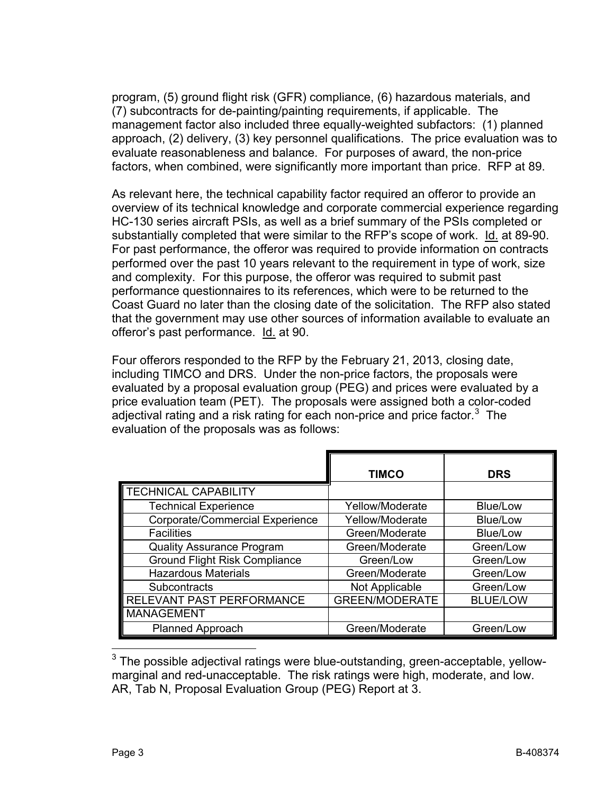program, (5) ground flight risk (GFR) compliance, (6) hazardous materials, and (7) subcontracts for de-painting/painting requirements, if applicable. The management factor also included three equally-weighted subfactors: (1) planned approach, (2) delivery, (3) key personnel qualifications. The price evaluation was to evaluate reasonableness and balance. For purposes of award, the non-price factors, when combined, were significantly more important than price. RFP at 89.

As relevant here, the technical capability factor required an offeror to provide an overview of its technical knowledge and corporate commercial experience regarding HC-130 series aircraft PSIs, as well as a brief summary of the PSIs completed or substantially completed that were similar to the RFP's scope of work. Id. at 89-90. For past performance, the offeror was required to provide information on contracts performed over the past 10 years relevant to the requirement in type of work, size and complexity. For this purpose, the offeror was required to submit past performance questionnaires to its references, which were to be returned to the Coast Guard no later than the closing date of the solicitation. The RFP also stated that the government may use other sources of information available to evaluate an offeror's past performance. Id. at 90.

Four offerors responded to the RFP by the February 21, 2013, closing date, including TIMCO and DRS. Under the non-price factors, the proposals were evaluated by a proposal evaluation group (PEG) and prices were evaluated by a price evaluation team (PET). The proposals were assigned both a color-coded adjectival rating and a risk rating for each non-price and price factor.<sup>[3](#page-2-0)</sup> The evaluation of the proposals was as follows:

|                                      | <b>TIMCO</b>          | <b>DRS</b>      |
|--------------------------------------|-----------------------|-----------------|
| TECHNICAL CAPABILITY                 |                       |                 |
| <b>Technical Experience</b>          | Yellow/Moderate       | Blue/Low        |
| Corporate/Commercial Experience      | Yellow/Moderate       | Blue/Low        |
| <b>Facilities</b>                    | Green/Moderate        | Blue/Low        |
| <b>Quality Assurance Program</b>     | Green/Moderate        | Green/Low       |
| <b>Ground Flight Risk Compliance</b> | Green/Low             | Green/Low       |
| <b>Hazardous Materials</b>           | Green/Moderate        | Green/Low       |
| Subcontracts                         | Not Applicable        | Green/Low       |
| RELEVANT PAST PERFORMANCE            | <b>GREEN/MODERATE</b> | <b>BLUE/LOW</b> |
| <b>MANAGEMENT</b>                    |                       |                 |
| Planned Approach                     | Green/Moderate        | Green/Low       |

<span id="page-2-0"></span> $3$  The possible adjectival ratings were blue-outstanding, green-acceptable, yellowmarginal and red-unacceptable. The risk ratings were high, moderate, and low. AR, Tab N, Proposal Evaluation Group (PEG) Report at 3.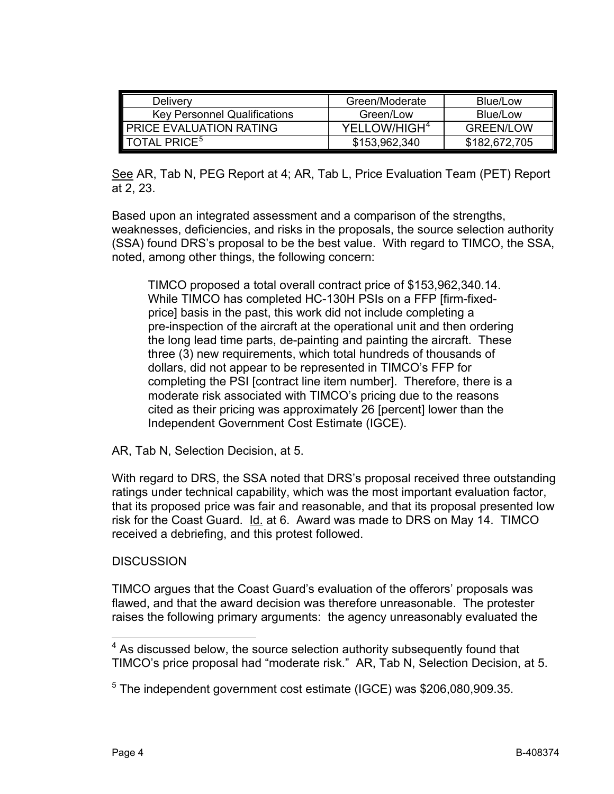| Delivery                            | Green/Moderate           | Blue/Low         |
|-------------------------------------|--------------------------|------------------|
| <b>Key Personnel Qualifications</b> | Green/Low                | Blue/Low         |
| <b>PRICE EVALUATION RATING</b>      | YELLOW/HIGH <sup>4</sup> | <b>GREEN/LOW</b> |
| <b>TOTAL PRICE<sup>5</sup></b>      | \$153,962,340            | \$182,672,705    |

See AR, Tab N, PEG Report at 4; AR, Tab L, Price Evaluation Team (PET) Report at 2, 23.

Based upon an integrated assessment and a comparison of the strengths, weaknesses, deficiencies, and risks in the proposals, the source selection authority (SSA) found DRS's proposal to be the best value. With regard to TIMCO, the SSA, noted, among other things, the following concern:

TIMCO proposed a total overall contract price of \$153,962,340.14. While TIMCO has completed HC-130H PSIs on a FFP [firm-fixedprice] basis in the past, this work did not include completing a pre-inspection of the aircraft at the operational unit and then ordering the long lead time parts, de-painting and painting the aircraft. These three (3) new requirements, which total hundreds of thousands of dollars, did not appear to be represented in TIMCO's FFP for completing the PSI [contract line item number]. Therefore, there is a moderate risk associated with TIMCO's pricing due to the reasons cited as their pricing was approximately 26 [percent] lower than the Independent Government Cost Estimate (IGCE).

AR, Tab N, Selection Decision, at 5.

With regard to DRS, the SSA noted that DRS's proposal received three outstanding ratings under technical capability, which was the most important evaluation factor, that its proposed price was fair and reasonable, and that its proposal presented low risk for the Coast Guard. Id. at 6. Award was made to DRS on May 14. TIMCO received a debriefing, and this protest followed.

## **DISCUSSION**

TIMCO argues that the Coast Guard's evaluation of the offerors' proposals was flawed, and that the award decision was therefore unreasonable. The protester raises the following primary arguments: the agency unreasonably evaluated the

<span id="page-3-0"></span> $4$  As discussed below, the source selection authority subsequently found that TIMCO's price proposal had "moderate risk." AR, Tab N, Selection Decision, at 5.

<span id="page-3-1"></span><sup>&</sup>lt;sup>5</sup> The independent government cost estimate (IGCE) was \$206,080,909.35.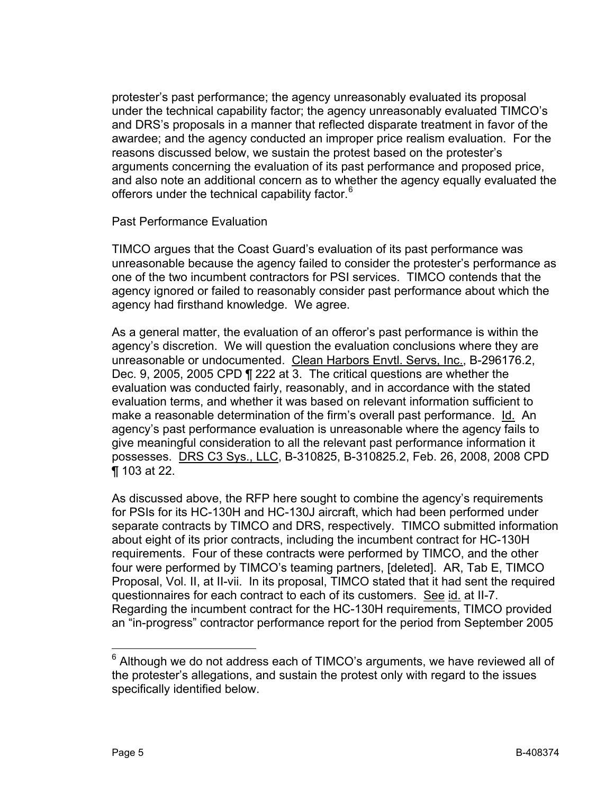protester's past performance; the agency unreasonably evaluated its proposal under the technical capability factor; the agency unreasonably evaluated TIMCO's and DRS's proposals in a manner that reflected disparate treatment in favor of the awardee; and the agency conducted an improper price realism evaluation. For the reasons discussed below, we sustain the protest based on the protester's arguments concerning the evaluation of its past performance and proposed price, and also note an additional concern as to whether the agency equally evaluated the offerors under the technical capability factor.<sup>[6](#page-4-0)</sup>

Past Performance Evaluation

TIMCO argues that the Coast Guard's evaluation of its past performance was unreasonable because the agency failed to consider the protester's performance as one of the two incumbent contractors for PSI services. TIMCO contends that the agency ignored or failed to reasonably consider past performance about which the agency had firsthand knowledge. We agree.

As a general matter, the evaluation of an offeror's past performance is within the agency's discretion. We will question the evaluation conclusions where they are unreasonable or undocumented. Clean Harbors Envtl. Servs, Inc., B-296176.2, Dec. 9, 2005, 2005 CPD ¶ 222 at 3. The critical questions are whether the evaluation was conducted fairly, reasonably, and in accordance with the stated evaluation terms, and whether it was based on relevant information sufficient to make a reasonable determination of the firm's overall past performance. Id. An agency's past performance evaluation is unreasonable where the agency fails to give meaningful consideration to all the relevant past performance information it possesses. DRS C3 Sys., LLC, B-310825, B-310825.2, Feb. 26, 2008, 2008 CPD ¶ 103 at 22.

As discussed above, the RFP here sought to combine the agency's requirements for PSIs for its HC-130H and HC-130J aircraft, which had been performed under separate contracts by TIMCO and DRS, respectively. TIMCO submitted information about eight of its prior contracts, including the incumbent contract for HC-130H requirements. Four of these contracts were performed by TIMCO, and the other four were performed by TIMCO's teaming partners, [deleted]. AR, Tab E, TIMCO Proposal, Vol. II, at II-vii. In its proposal, TIMCO stated that it had sent the required questionnaires for each contract to each of its customers. See id. at II-7. Regarding the incumbent contract for the HC-130H requirements, TIMCO provided an "in-progress" contractor performance report for the period from September 2005

<span id="page-4-0"></span> $6$  Although we do not address each of TIMCO's arguments, we have reviewed all of the protester's allegations, and sustain the protest only with regard to the issues specifically identified below.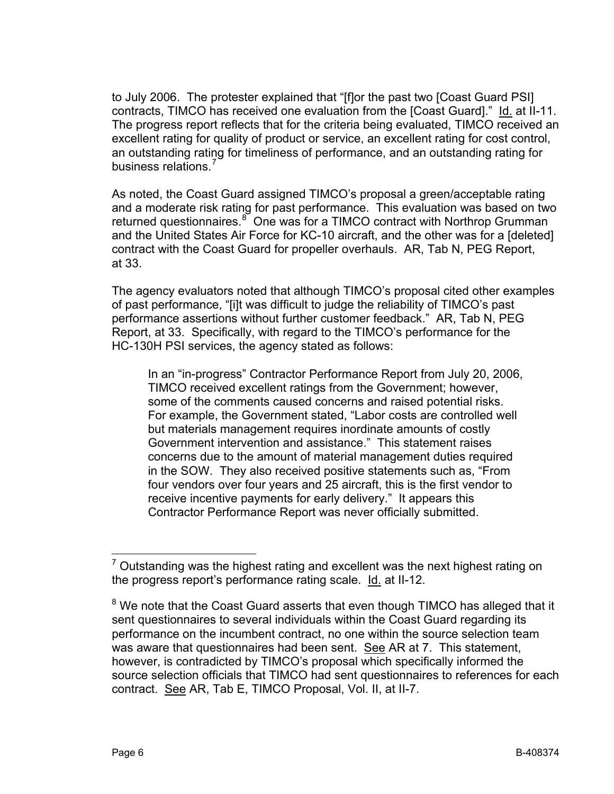to July 2006. The protester explained that "[f]or the past two [Coast Guard PSI] contracts, TIMCO has received one evaluation from the [Coast Guard]." Id. at II-11. The progress report reflects that for the criteria being evaluated, TIMCO received an excellent rating for quality of product or service, an excellent rating for cost control, an outstanding rating for timeliness of performance, and an outstanding rating for business relations.<sup>[7](#page-5-0)</sup>

As noted, the Coast Guard assigned TIMCO's proposal a green/acceptable rating and a moderate risk rating for past performance. This evaluation was based on two returned questionnaires.<sup>[8](#page-5-1)</sup> One was for a TIMCO contract with Northrop Grumman and the United States Air Force for KC-10 aircraft, and the other was for a [deleted] contract with the Coast Guard for propeller overhauls. AR, Tab N, PEG Report, at 33.

The agency evaluators noted that although TIMCO's proposal cited other examples of past performance, "[i]t was difficult to judge the reliability of TIMCO's past performance assertions without further customer feedback." AR, Tab N, PEG Report, at 33. Specifically, with regard to the TIMCO's performance for the HC-130H PSI services, the agency stated as follows:

In an "in-progress" Contractor Performance Report from July 20, 2006, TIMCO received excellent ratings from the Government; however, some of the comments caused concerns and raised potential risks. For example, the Government stated, "Labor costs are controlled well but materials management requires inordinate amounts of costly Government intervention and assistance." This statement raises concerns due to the amount of material management duties required in the SOW. They also received positive statements such as, "From four vendors over four years and 25 aircraft, this is the first vendor to receive incentive payments for early delivery." It appears this Contractor Performance Report was never officially submitted.

<span id="page-5-0"></span> $7$  Outstanding was the highest rating and excellent was the next highest rating on the progress report's performance rating scale. Id. at II-12.

<span id="page-5-1"></span> $8$  We note that the Coast Guard asserts that even though TIMCO has alleged that it sent questionnaires to several individuals within the Coast Guard regarding its performance on the incumbent contract, no one within the source selection team was aware that questionnaires had been sent. See AR at 7. This statement, however, is contradicted by TIMCO's proposal which specifically informed the source selection officials that TIMCO had sent questionnaires to references for each contract. See AR, Tab E, TIMCO Proposal, Vol. II, at II-7.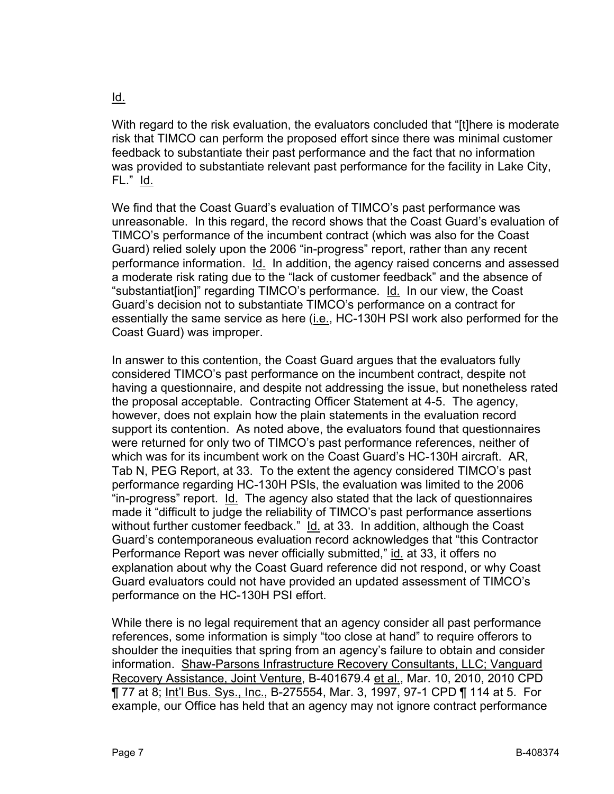## With regard to the risk evaluation, the evaluators concluded that "[t]here is moderate risk that TIMCO can perform the proposed effort since there was minimal customer feedback to substantiate their past performance and the fact that no information was provided to substantiate relevant past performance for the facility in Lake City, FL." Id.

We find that the Coast Guard's evaluation of TIMCO's past performance was unreasonable. In this regard, the record shows that the Coast Guard's evaluation of TIMCO's performance of the incumbent contract (which was also for the Coast Guard) relied solely upon the 2006 "in-progress" report, rather than any recent performance information. Id. In addition, the agency raised concerns and assessed a moderate risk rating due to the "lack of customer feedback" and the absence of "substantiat[ion]" regarding TIMCO's performance. Id. In our view, the Coast Guard's decision not to substantiate TIMCO's performance on a contract for essentially the same service as here (*i.e.*, HC-130H PSI work also performed for the Coast Guard) was improper.

In answer to this contention, the Coast Guard argues that the evaluators fully considered TIMCO's past performance on the incumbent contract, despite not having a questionnaire, and despite not addressing the issue, but nonetheless rated the proposal acceptable. Contracting Officer Statement at 4-5. The agency, however, does not explain how the plain statements in the evaluation record support its contention. As noted above, the evaluators found that questionnaires were returned for only two of TIMCO's past performance references, neither of which was for its incumbent work on the Coast Guard's HC-130H aircraft. AR, Tab N, PEG Report, at 33. To the extent the agency considered TIMCO's past performance regarding HC-130H PSIs, the evaluation was limited to the 2006 "in-progress" report. Id. The agency also stated that the lack of questionnaires made it "difficult to judge the reliability of TIMCO's past performance assertions without further customer feedback." Id. at 33. In addition, although the Coast Guard's contemporaneous evaluation record acknowledges that "this Contractor Performance Report was never officially submitted," id. at 33, it offers no explanation about why the Coast Guard reference did not respond, or why Coast Guard evaluators could not have provided an updated assessment of TIMCO's performance on the HC-130H PSI effort.

While there is no legal requirement that an agency consider all past performance references, some information is simply "too close at hand" to require offerors to shoulder the inequities that spring from an agency's failure to obtain and consider information. Shaw-Parsons Infrastructure Recovery Consultants, LLC; Vanguard Recovery Assistance, Joint Venture, B-401679.4 et al., Mar. 10, 2010, 2010 CPD ¶ 77 at 8; Int'l Bus. Sys., Inc., B-275554, Mar. 3, 1997, 97-1 CPD ¶ 114 at 5. For example, our Office has held that an agency may not ignore contract performance

Id.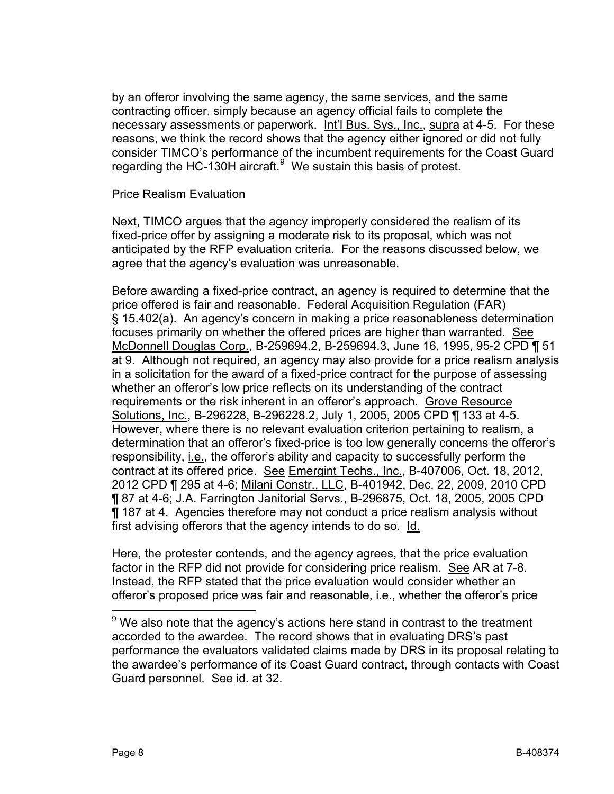by an offeror involving the same agency, the same services, and the same contracting officer, simply because an agency official fails to complete the necessary assessments or paperwork. Int'l Bus. Sys., Inc., supra at 4-5. For these reasons, we think the record shows that the agency either ignored or did not fully consider TIMCO's performance of the incumbent requirements for the Coast Guard regarding the HC-130H aircraft. $^9$  $^9$  We sustain this basis of protest.

#### Price Realism Evaluation

Next, TIMCO argues that the agency improperly considered the realism of its fixed-price offer by assigning a moderate risk to its proposal, which was not anticipated by the RFP evaluation criteria. For the reasons discussed below, we agree that the agency's evaluation was unreasonable.

Before awarding a fixed-price contract, an agency is required to determine that the price offered is fair and reasonable. Federal Acquisition Regulation (FAR) § 15.402(a). An agency's concern in making a price reasonableness determination focuses primarily on whether the offered prices are higher than warranted. See McDonnell Douglas Corp., B-259694.2, B-259694.3, June 16, 1995, 95-2 CPD ¶ 51 at 9. Although not required, an agency may also provide for a price realism analysis in a solicitation for the award of a fixed-price contract for the purpose of assessing whether an offeror's low price reflects on its understanding of the contract requirements or the risk inherent in an offeror's approach. Grove Resource Solutions, Inc., B-296228, B-296228.2, July 1, 2005, 2005 CPD ¶ 133 at 4-5. However, where there is no relevant evaluation criterion pertaining to realism, a determination that an offeror's fixed-price is too low generally concerns the offeror's responsibility, *i.e.*, the offeror's ability and capacity to successfully perform the contract at its offered price. See Emergint Techs., Inc., B-407006, Oct. 18, 2012, 2012 CPD ¶ 295 at 4-6; Milani Constr., LLC, B-401942, Dec. 22, 2009, 2010 CPD ¶ 87 at 4-6; J.A. Farrington Janitorial Servs., B-296875, Oct. 18, 2005, 2005 CPD ¶ 187 at 4. Agencies therefore may not conduct a price realism analysis without first advising offerors that the agency intends to do so. Id.

Here, the protester contends, and the agency agrees, that the price evaluation factor in the RFP did not provide for considering price realism. See AR at 7-8. Instead, the RFP stated that the price evaluation would consider whether an offeror's proposed price was fair and reasonable, *i.e.*, whether the offeror's price

<span id="page-7-0"></span> $9$  We also note that the agency's actions here stand in contrast to the treatment accorded to the awardee. The record shows that in evaluating DRS's past performance the evaluators validated claims made by DRS in its proposal relating to the awardee's performance of its Coast Guard contract, through contacts with Coast Guard personnel. See id. at 32.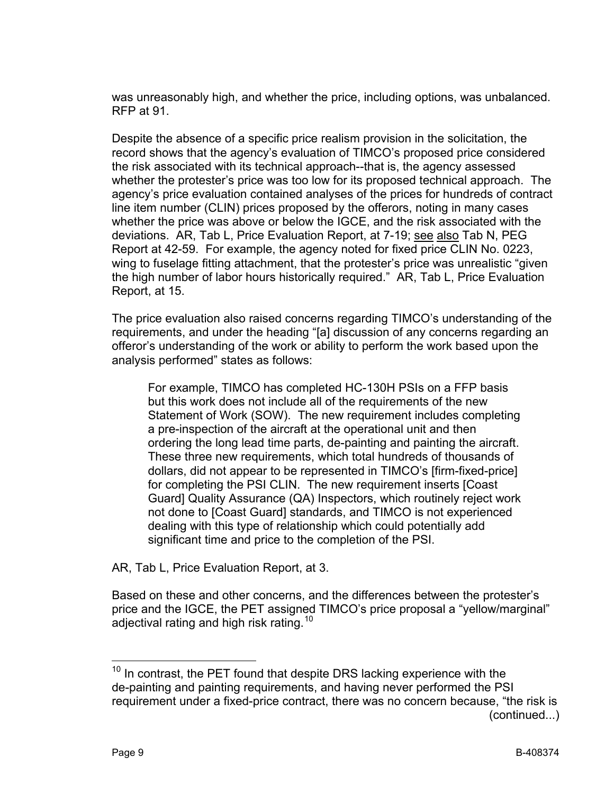was unreasonably high, and whether the price, including options, was unbalanced. RFP at 91.

Despite the absence of a specific price realism provision in the solicitation, the record shows that the agency's evaluation of TIMCO's proposed price considered the risk associated with its technical approach--that is, the agency assessed whether the protester's price was too low for its proposed technical approach. The agency's price evaluation contained analyses of the prices for hundreds of contract line item number (CLIN) prices proposed by the offerors, noting in many cases whether the price was above or below the IGCE, and the risk associated with the deviations. AR, Tab L, Price Evaluation Report, at 7-19; see also Tab N, PEG Report at 42-59. For example, the agency noted for fixed price CLIN No. 0223, wing to fuselage fitting attachment, that the protester's price was unrealistic "given the high number of labor hours historically required." AR, Tab L, Price Evaluation Report, at 15.

The price evaluation also raised concerns regarding TIMCO's understanding of the requirements, and under the heading "[a] discussion of any concerns regarding an offeror's understanding of the work or ability to perform the work based upon the analysis performed" states as follows:

For example, TIMCO has completed HC-130H PSIs on a FFP basis but this work does not include all of the requirements of the new Statement of Work (SOW). The new requirement includes completing a pre-inspection of the aircraft at the operational unit and then ordering the long lead time parts, de-painting and painting the aircraft. These three new requirements, which total hundreds of thousands of dollars, did not appear to be represented in TIMCO's [firm-fixed-price] for completing the PSI CLIN. The new requirement inserts [Coast Guard] Quality Assurance (QA) Inspectors, which routinely reject work not done to [Coast Guard] standards, and TIMCO is not experienced dealing with this type of relationship which could potentially add significant time and price to the completion of the PSI.

AR, Tab L, Price Evaluation Report, at 3.

Based on these and other concerns, and the differences between the protester's price and the IGCE, the PET assigned TIMCO's price proposal a "yellow/marginal" adjectival rating and high risk rating.<sup>[10](#page-8-0)</sup>

<span id="page-8-0"></span> $10$  In contrast, the PET found that despite DRS lacking experience with the de-painting and painting requirements, and having never performed the PSI requirement under a fixed-price contract, there was no concern because, "the risk is (continued...)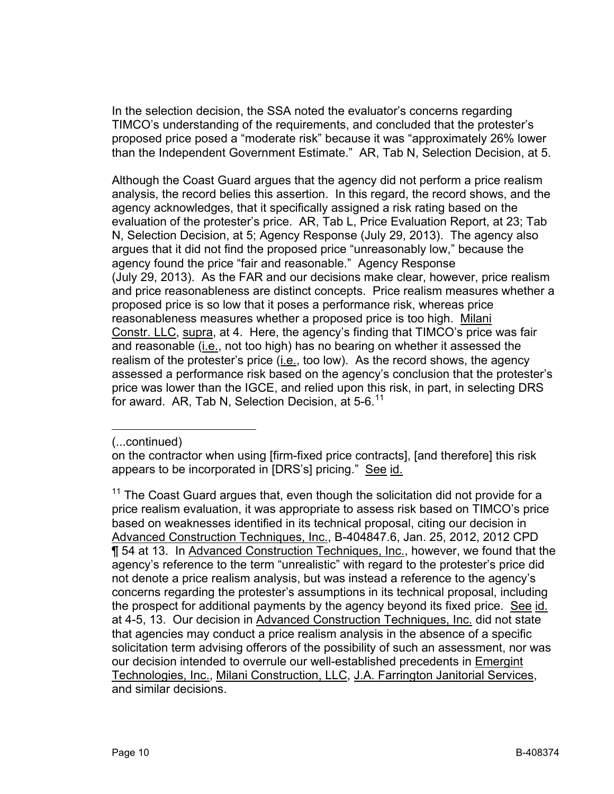In the selection decision, the SSA noted the evaluator's concerns regarding TIMCO's understanding of the requirements, and concluded that the protester's proposed price posed a "moderate risk" because it was "approximately 26% lower than the Independent Government Estimate." AR, Tab N, Selection Decision, at 5.

Although the Coast Guard argues that the agency did not perform a price realism analysis, the record belies this assertion. In this regard, the record shows, and the agency acknowledges, that it specifically assigned a risk rating based on the evaluation of the protester's price. AR, Tab L, Price Evaluation Report, at 23; Tab N, Selection Decision, at 5; Agency Response (July 29, 2013). The agency also argues that it did not find the proposed price "unreasonably low," because the agency found the price "fair and reasonable." Agency Response (July 29, 2013). As the FAR and our decisions make clear, however, price realism and price reasonableness are distinct concepts. Price realism measures whether a proposed price is so low that it poses a performance risk, whereas price reasonableness measures whether a proposed price is too high. Milani Constr. LLC, supra, at 4. Here, the agency's finding that TIMCO's price was fair and reasonable (*i.e.*, not too high) has no bearing on whether it assessed the realism of the protester's price (i.e., too low). As the record shows, the agency assessed a performance risk based on the agency's conclusion that the protester's price was lower than the IGCE, and relied upon this risk, in part, in selecting DRS for award. AR, Tab N, Selection Decision, at  $5-6.<sup>11</sup>$  $5-6.<sup>11</sup>$  $5-6.<sup>11</sup>$ 

 $\overline{a}$ (...continued)

on the contractor when using [firm-fixed price contracts], [and therefore] this risk appears to be incorporated in [DRS's] pricing." See id.

<span id="page-9-0"></span> $11$  The Coast Guard argues that, even though the solicitation did not provide for a price realism evaluation, it was appropriate to assess risk based on TIMCO's price based on weaknesses identified in its technical proposal, citing our decision in Advanced Construction Techniques, Inc., B-404847.6, Jan. 25, 2012, 2012 CPD ¶ 54 at 13. In Advanced Construction Techniques, Inc., however, we found that the agency's reference to the term "unrealistic" with regard to the protester's price did not denote a price realism analysis, but was instead a reference to the agency's concerns regarding the protester's assumptions in its technical proposal, including the prospect for additional payments by the agency beyond its fixed price. See id. at 4-5, 13. Our decision in Advanced Construction Techniques, Inc. did not state that agencies may conduct a price realism analysis in the absence of a specific solicitation term advising offerors of the possibility of such an assessment, nor was our decision intended to overrule our well-established precedents in **Emergint** Technologies, Inc., Milani Construction, LLC, J.A. Farrington Janitorial Services, and similar decisions.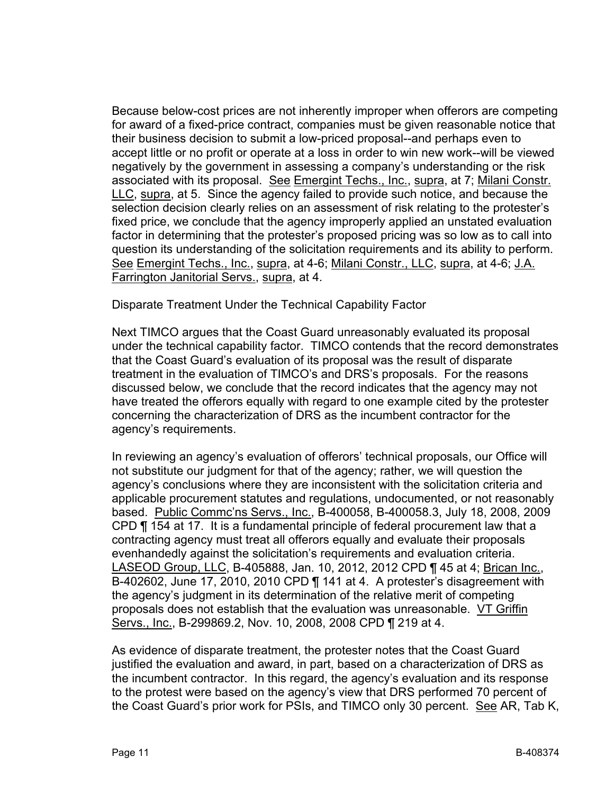Because below-cost prices are not inherently improper when offerors are competing for award of a fixed-price contract, companies must be given reasonable notice that their business decision to submit a low-priced proposal--and perhaps even to accept little or no profit or operate at a loss in order to win new work--will be viewed negatively by the government in assessing a company's understanding or the risk associated with its proposal. See Emergint Techs., Inc., supra, at 7; Milani Constr. LLC, supra, at 5. Since the agency failed to provide such notice, and because the selection decision clearly relies on an assessment of risk relating to the protester's fixed price, we conclude that the agency improperly applied an unstated evaluation factor in determining that the protester's proposed pricing was so low as to call into question its understanding of the solicitation requirements and its ability to perform. See Emergint Techs., Inc., supra, at 4-6; Milani Constr., LLC, supra, at 4-6; J.A. Farrington Janitorial Servs., supra, at 4.

Disparate Treatment Under the Technical Capability Factor

Next TIMCO argues that the Coast Guard unreasonably evaluated its proposal under the technical capability factor. TIMCO contends that the record demonstrates that the Coast Guard's evaluation of its proposal was the result of disparate treatment in the evaluation of TIMCO's and DRS's proposals. For the reasons discussed below, we conclude that the record indicates that the agency may not have treated the offerors equally with regard to one example cited by the protester concerning the characterization of DRS as the incumbent contractor for the agency's requirements.

In reviewing an agency's evaluation of offerors' technical proposals, our Office will not substitute our judgment for that of the agency; rather, we will question the agency's conclusions where they are inconsistent with the solicitation criteria and applicable procurement statutes and regulations, undocumented, or not reasonably based. Public Commc'ns Servs., Inc., B-400058, B-400058.3, July 18, 2008, 2009 CPD ¶ 154 at 17. It is a fundamental principle of federal procurement law that a contracting agency must treat all offerors equally and evaluate their proposals evenhandedly against the solicitation's requirements and evaluation criteria. LASEOD Group, LLC, B-405888, Jan. 10, 2012, 2012 CPD ¶ 45 at 4; Brican Inc., B-402602, June 17, 2010, 2010 CPD ¶ 141 at 4. A protester's disagreement with the agency's judgment in its determination of the relative merit of competing proposals does not establish that the evaluation was unreasonable. VT Griffin Servs., Inc., B-299869.2, Nov. 10, 2008, 2008 CPD ¶ 219 at 4.

As evidence of disparate treatment, the protester notes that the Coast Guard justified the evaluation and award, in part, based on a characterization of DRS as the incumbent contractor. In this regard, the agency's evaluation and its response to the protest were based on the agency's view that DRS performed 70 percent of the Coast Guard's prior work for PSIs, and TIMCO only 30 percent. See AR, Tab K,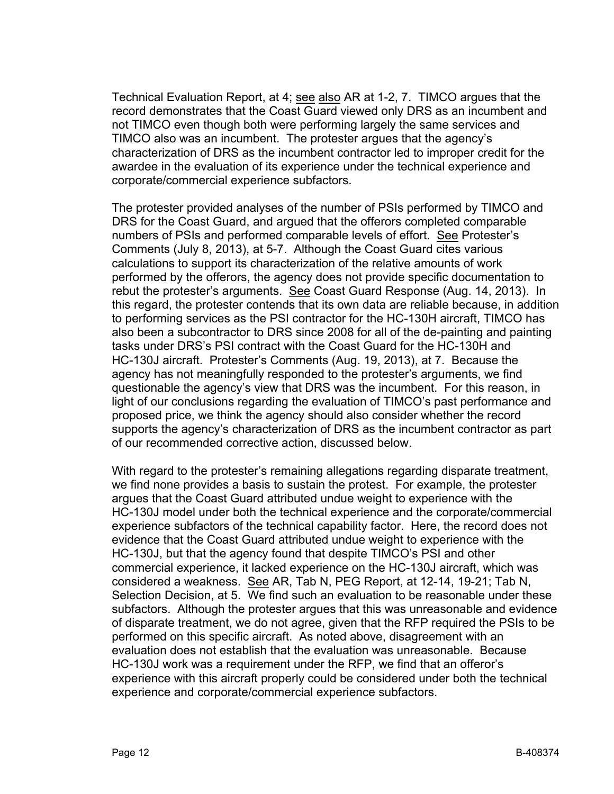Technical Evaluation Report, at 4; see also AR at 1-2, 7. TIMCO argues that the record demonstrates that the Coast Guard viewed only DRS as an incumbent and not TIMCO even though both were performing largely the same services and TIMCO also was an incumbent. The protester argues that the agency's characterization of DRS as the incumbent contractor led to improper credit for the awardee in the evaluation of its experience under the technical experience and corporate/commercial experience subfactors.

The protester provided analyses of the number of PSIs performed by TIMCO and DRS for the Coast Guard, and argued that the offerors completed comparable numbers of PSIs and performed comparable levels of effort. See Protester's Comments (July 8, 2013), at 5-7. Although the Coast Guard cites various calculations to support its characterization of the relative amounts of work performed by the offerors, the agency does not provide specific documentation to rebut the protester's arguments. See Coast Guard Response (Aug. 14, 2013). In this regard, the protester contends that its own data are reliable because, in addition to performing services as the PSI contractor for the HC-130H aircraft, TIMCO has also been a subcontractor to DRS since 2008 for all of the de-painting and painting tasks under DRS's PSI contract with the Coast Guard for the HC-130H and HC-130J aircraft. Protester's Comments (Aug. 19, 2013), at 7. Because the agency has not meaningfully responded to the protester's arguments, we find questionable the agency's view that DRS was the incumbent. For this reason, in light of our conclusions regarding the evaluation of TIMCO's past performance and proposed price, we think the agency should also consider whether the record supports the agency's characterization of DRS as the incumbent contractor as part of our recommended corrective action, discussed below.

With regard to the protester's remaining allegations regarding disparate treatment, we find none provides a basis to sustain the protest. For example, the protester argues that the Coast Guard attributed undue weight to experience with the HC-130J model under both the technical experience and the corporate/commercial experience subfactors of the technical capability factor. Here, the record does not evidence that the Coast Guard attributed undue weight to experience with the HC-130J, but that the agency found that despite TIMCO's PSI and other commercial experience, it lacked experience on the HC-130J aircraft, which was considered a weakness. See AR, Tab N, PEG Report, at 12-14, 19-21; Tab N, Selection Decision, at 5. We find such an evaluation to be reasonable under these subfactors. Although the protester argues that this was unreasonable and evidence of disparate treatment, we do not agree, given that the RFP required the PSIs to be performed on this specific aircraft. As noted above, disagreement with an evaluation does not establish that the evaluation was unreasonable. Because HC-130J work was a requirement under the RFP, we find that an offeror's experience with this aircraft properly could be considered under both the technical experience and corporate/commercial experience subfactors.